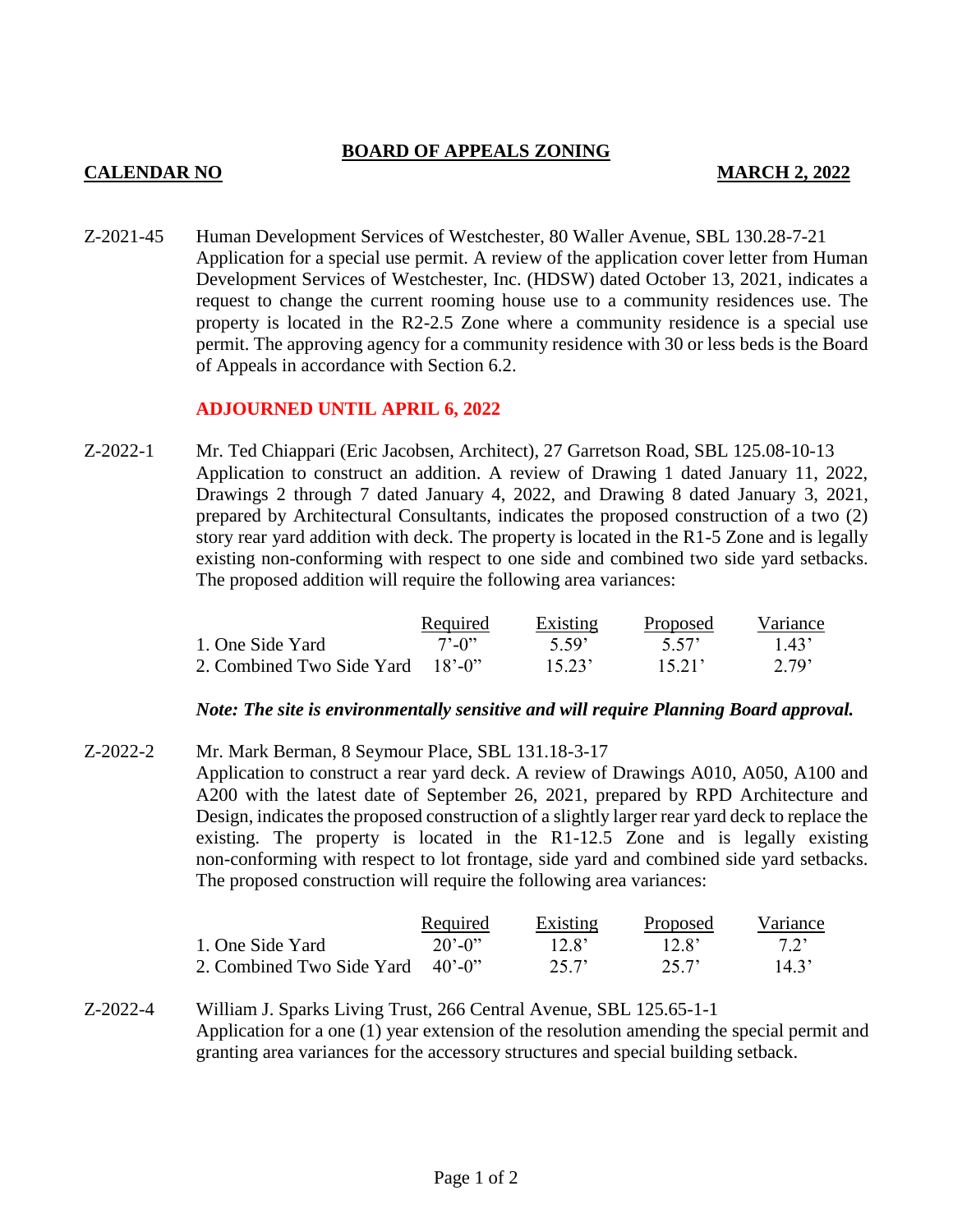## **BOARD OF APPEALS ZONING**

## **CALENDAR NO MARCH 2, 2022**

Z-2021-45 Human Development Services of Westchester, 80 Waller Avenue, SBL 130.28-7-21 Application for a special use permit. A review of the application cover letter from Human Development Services of Westchester, Inc. (HDSW) dated October 13, 2021, indicates a request to change the current rooming house use to a community residences use. The property is located in the R2-2.5 Zone where a community residence is a special use permit. The approving agency for a community residence with 30 or less beds is the Board of Appeals in accordance with Section 6.2.

### **ADJOURNED UNTIL APRIL 6, 2022**

Z-2022-1 Mr. Ted Chiappari (Eric Jacobsen, Architect), 27 Garretson Road, SBL 125.08-10-13 Application to construct an addition. A review of Drawing 1 dated January 11, 2022, Drawings 2 through 7 dated January 4, 2022, and Drawing 8 dated January 3, 2021, prepared by Architectural Consultants, indicates the proposed construction of a two (2) story rear yard addition with deck. The property is located in the R1-5 Zone and is legally existing non-conforming with respect to one side and combined two side yard setbacks. The proposed addition will require the following area variances:

|                                  | <b>Required</b>             | <b>Existing</b> | Proposed | Variance |
|----------------------------------|-----------------------------|-----------------|----------|----------|
| 1. One Side Yard                 | $7^{\circ}$ -0 <sup>3</sup> | -5.59°          | 5.57     | 1.43'    |
| 2. Combined Two Side Yard 18'-0" |                             | 15.23'          | 1521'    | 2.79'    |

#### *Note: The site is environmentally sensitive and will require Planning Board approval.*

Z-2022-2 Mr. Mark Berman, 8 Seymour Place, SBL 131.18-3-17 Application to construct a rear yard deck. A review of Drawings A010, A050, A100 and A200 with the latest date of September 26, 2021, prepared by RPD Architecture and Design, indicates the proposed construction of a slightly larger rear yard deck to replace the existing. The property is located in the R1-12.5 Zone and is legally existing non-conforming with respect to lot frontage, side yard and combined side yard setbacks. The proposed construction will require the following area variances:

|                                  | Required              | <b>Existing</b>   | Proposed          | Variance |
|----------------------------------|-----------------------|-------------------|-------------------|----------|
| 1. One Side Yard                 | $20'$ -0 <sup>2</sup> | 12.8 <sup>'</sup> | 12.8 <sup>2</sup> | 72'      |
| 2. Combined Two Side Yard 40'-0" |                       | 25.7'             | 25.7'             | 14.3'    |

Z-2022-4 William J. Sparks Living Trust, 266 Central Avenue, SBL 125.65-1-1 Application for a one (1) year extension of the resolution amending the special permit and granting area variances for the accessory structures and special building setback.